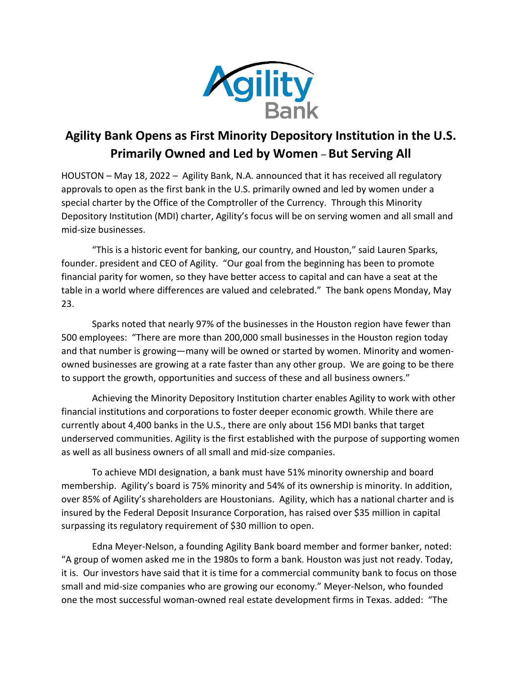

## **Agility Bank Opens as First Minority Depository Institution in the U.S. Primarily Owned and Led by Women** – **But Serving All**

HOUSTON – May 18, 2022 – Agility Bank, N.A. announced that it has received all regulatory approvals to open as the first bank in the U.S. primarily owned and led by women under a special charter by the Office of the Comptroller of the Currency. Through this Minority Depository Institution (MDI) charter, Agility's focus will be on serving women and all small and mid-size businesses.

"This is a historic event for banking, our country, and Houston," said Lauren Sparks, founder. president and CEO of Agility. "Our goal from the beginning has been to promote financial parity for women, so they have better access to capital and can have a seat at the table in a world where differences are valued and celebrated." The bank opens Monday, May 23.

Sparks noted that nearly 97% of the businesses in the Houston region have fewer than 500 employees: "There are more than 200,000 small businesses in the Houston region today and that number is growing—many will be owned or started by women. Minority and womenowned businesses are growing at a rate faster than any other group. We are going to be there to support the growth, opportunities and success of these and all business owners."

Achieving the Minority Depository Institution charter enables Agility to work with other financial institutions and corporations to foster deeper economic growth. While there are currently about 4,400 banks in the U.S., there are only about 156 MDI banks that target underserved communities. Agility is the first established with the purpose of supporting women as well as all business owners of all small and mid-size companies.

To achieve MDI designation, a bank must have 51% minority ownership and board membership. Agility's board is 75% minority and 54% of its ownership is minority. In addition, over 85% of Agility's shareholders are Houstonians. Agility, which has a national charter and is insured by the Federal Deposit Insurance Corporation, has raised over \$35 million in capital surpassing its regulatory requirement of \$30 million to open.

Edna Meyer-Nelson, a founding Agility Bank board member and former banker, noted: "A group of women asked me in the 1980s to form a bank. Houston was just not ready. Today, it is. Our investors have said that it is time for a commercial community bank to focus on those small and mid-size companies who are growing our economy." Meyer-Nelson, who founded one the most successful woman-owned real estate development firms in Texas. added: "The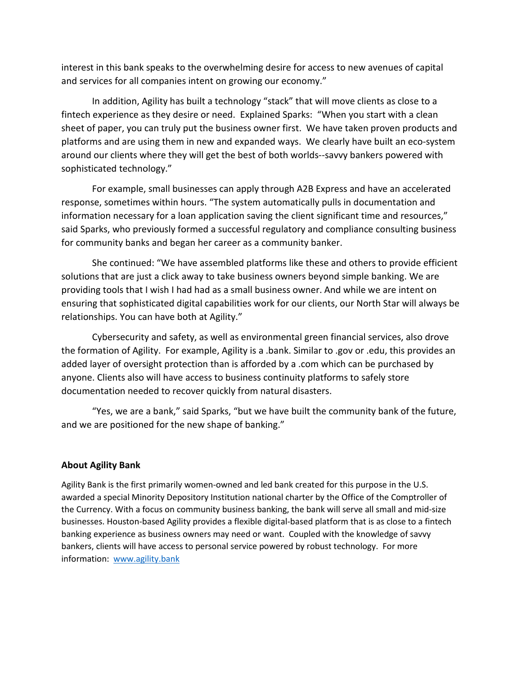interest in this bank speaks to the overwhelming desire for access to new avenues of capital and services for all companies intent on growing our economy."

In addition, Agility has built a technology "stack" that will move clients as close to a fintech experience as they desire or need. Explained Sparks: "When you start with a clean sheet of paper, you can truly put the business owner first. We have taken proven products and platforms and are using them in new and expanded ways. We clearly have built an eco-system around our clients where they will get the best of both worlds--savvy bankers powered with sophisticated technology."

For example, small businesses can apply through A2B Express and have an accelerated response, sometimes within hours. "The system automatically pulls in documentation and information necessary for a loan application saving the client significant time and resources," said Sparks, who previously formed a successful regulatory and compliance consulting business for community banks and began her career as a community banker.

She continued: "We have assembled platforms like these and others to provide efficient solutions that are just a click away to take business owners beyond simple banking. We are providing tools that I wish I had had as a small business owner. And while we are intent on ensuring that sophisticated digital capabilities work for our clients, our North Star will always be relationships. You can have both at Agility."

Cybersecurity and safety, as well as environmental green financial services, also drove the formation of Agility. For example, Agility is a .bank. Similar to .gov or .edu, this provides an added layer of oversight protection than is afforded by a .com which can be purchased by anyone. Clients also will have access to business continuity platforms to safely store documentation needed to recover quickly from natural disasters.

"Yes, we are a bank," said Sparks, "but we have built the community bank of the future, and we are positioned for the new shape of banking."

## **About Agility Bank**

Agility Bank is the first primarily women-owned and led bank created for this purpose in the U.S. awarded a special Minority Depository Institution national charter by the Office of the Comptroller of the Currency. With a focus on community business banking, the bank will serve all small and mid-size businesses. Houston-based Agility provides a flexible digital-based platform that is as close to a fintech banking experience as business owners may need or want. Coupled with the knowledge of savvy bankers, clients will have access to personal service powered by robust technology. For more information: [www.agility.bank](http://www.agility.bank/)